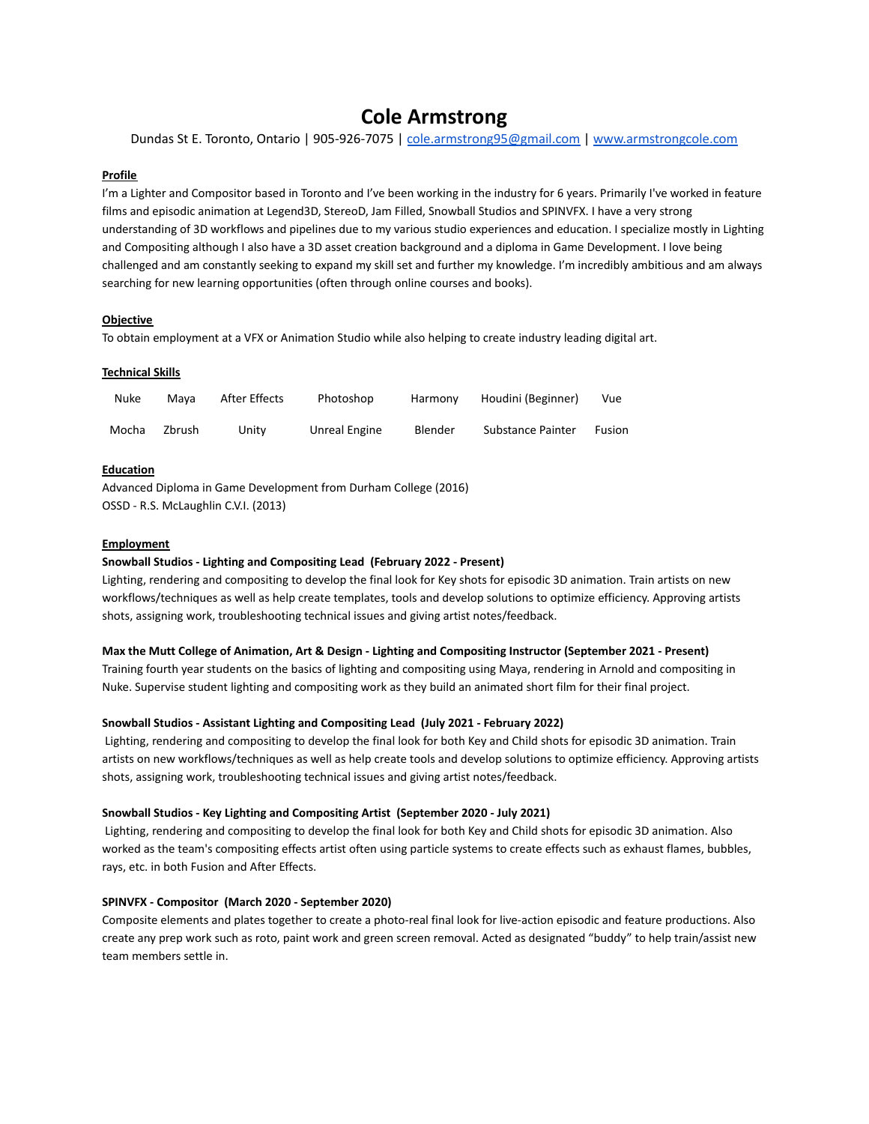# **Cole Armstrong**

Dundas St E. Toronto, Ontario | 905-926-7075 | [cole.armstrong95@gmail.com](mailto:cole.armstrong95@gmail.com) | [www.armstrongcole.com](http://www.armstrongcole.com)

## **Profile**

I'm a Lighter and Compositor based in Toronto and I've been working in the industry for 6 years. Primarily I've worked in feature films and episodic animation at Legend3D, StereoD, Jam Filled, Snowball Studios and SPINVFX. I have a very strong understanding of 3D workflows and pipelines due to my various studio experiences and education. I specialize mostly in Lighting and Compositing although I also have a 3D asset creation background and a diploma in Game Development. I love being challenged and am constantly seeking to expand my skill set and further my knowledge. I'm incredibly ambitious and am always searching for new learning opportunities (often through online courses and books).

# **Objective**

To obtain employment at a VFX or Animation Studio while also helping to create industry leading digital art.

### **Technical Skills**

| Nuke  | Mava   | After Effects | Photoshop     | Harmony | Houdini (Beginner) | Vue           |
|-------|--------|---------------|---------------|---------|--------------------|---------------|
| Mocha | Zbrush | Unity         | Unreal Engine | Blender | Substance Painter  | <b>Fusion</b> |

## **Education**

Advanced Diploma in Game Development from Durham College (2016) OSSD - R.S. McLaughlin C.V.I. (2013)

### **Employment**

# **Snowball Studios - Lighting and Compositing Lead (February 2022 - Present)**

Lighting, rendering and compositing to develop the final look for Key shots for episodic 3D animation. Train artists on new workflows/techniques as well as help create templates, tools and develop solutions to optimize efficiency. Approving artists shots, assigning work, troubleshooting technical issues and giving artist notes/feedback.

#### **Max the Mutt College of Animation, Art & Design - Lighting and Compositing Instructor (September 2021 - Present)**

Training fourth year students on the basics of lighting and compositing using Maya, rendering in Arnold and compositing in Nuke. Supervise student lighting and compositing work as they build an animated short film for their final project.

## **Snowball Studios - Assistant Lighting and Compositing Lead (July 2021 - February 2022)**

Lighting, rendering and compositing to develop the final look for both Key and Child shots for episodic 3D animation. Train artists on new workflows/techniques as well as help create tools and develop solutions to optimize efficiency. Approving artists shots, assigning work, troubleshooting technical issues and giving artist notes/feedback.

## **Snowball Studios - Key Lighting and Compositing Artist (September 2020 - July 2021)**

Lighting, rendering and compositing to develop the final look for both Key and Child shots for episodic 3D animation. Also worked as the team's compositing effects artist often using particle systems to create effects such as exhaust flames, bubbles, rays, etc. in both Fusion and After Effects.

## **SPINVFX - Compositor (March 2020 - September 2020)**

Composite elements and plates together to create a photo-real final look for live-action episodic and feature productions. Also create any prep work such as roto, paint work and green screen removal. Acted as designated "buddy" to help train/assist new team members settle in.